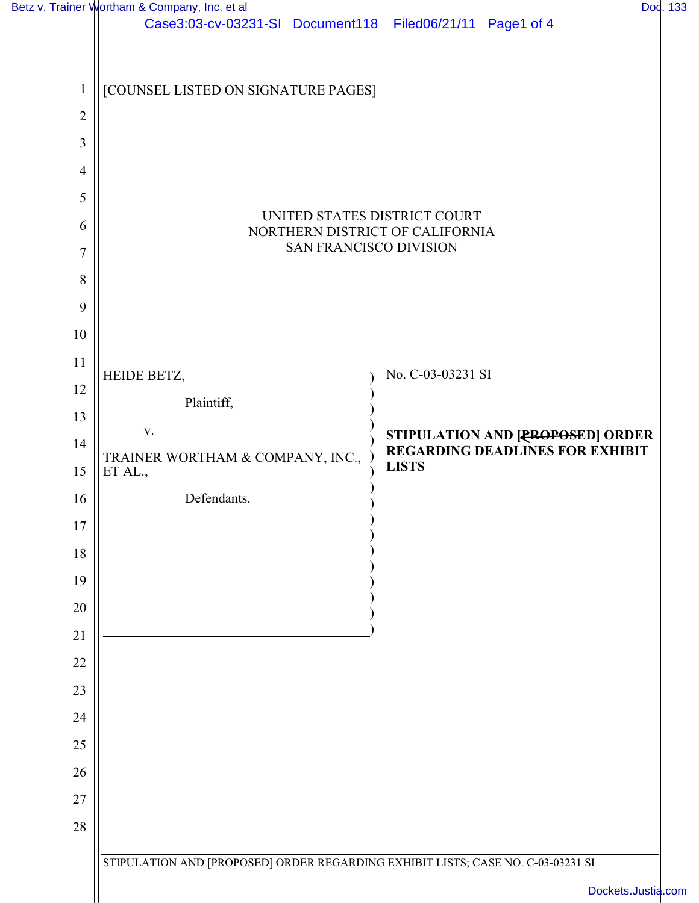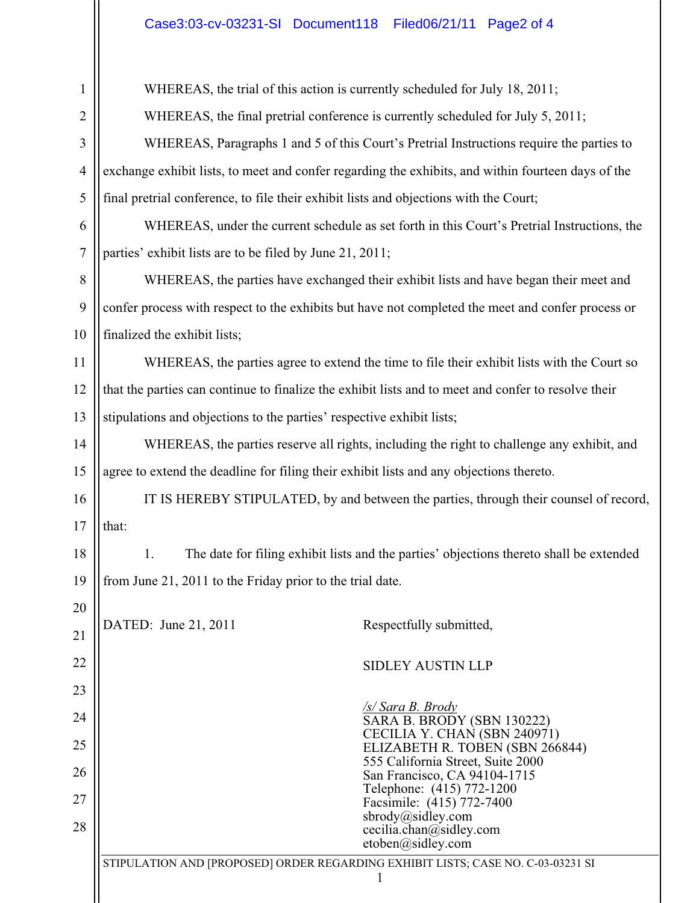## Case3:03-cv-03231-SI Document118 Filed06/21/11 Page2 of 4

 $\mathbf{\mathsf{H}}$ 

| 1              | WHEREAS, the trial of this action is currently scheduled for July 18, 2011;                          |
|----------------|------------------------------------------------------------------------------------------------------|
| $\overline{2}$ | WHEREAS, the final pretrial conference is currently scheduled for July 5, 2011;                      |
| 3              | WHEREAS, Paragraphs 1 and 5 of this Court's Pretrial Instructions require the parties to             |
| $\overline{4}$ | exchange exhibit lists, to meet and confer regarding the exhibits, and within fourteen days of the   |
| 5              | final pretrial conference, to file their exhibit lists and objections with the Court;                |
| 6              | WHEREAS, under the current schedule as set forth in this Court's Pretrial Instructions, the          |
| $\overline{7}$ | parties' exhibit lists are to be filed by June 21, 2011;                                             |
| $8\,$          | WHEREAS, the parties have exchanged their exhibit lists and have began their meet and                |
| 9              | confer process with respect to the exhibits but have not completed the meet and confer process or    |
| 10             | finalized the exhibit lists;                                                                         |
| 11             | WHEREAS, the parties agree to extend the time to file their exhibit lists with the Court so          |
| 12             | that the parties can continue to finalize the exhibit lists and to meet and confer to resolve their  |
| 13             | stipulations and objections to the parties' respective exhibit lists;                                |
| 14             | WHEREAS, the parties reserve all rights, including the right to challenge any exhibit, and           |
| 15             | agree to extend the deadline for filing their exhibit lists and any objections thereto.              |
| 16             | IT IS HEREBY STIPULATED, by and between the parties, through their counsel of record,                |
| 17             | that:                                                                                                |
| 18             | 1.<br>The date for filing exhibit lists and the parties' objections thereto shall be extended        |
| 19             | from June 21, 2011 to the Friday prior to the trial date.                                            |
| 20             |                                                                                                      |
| 21             | DATED: June 21, 2011<br>Respectfully submitted,                                                      |
| 22             | <b>SIDLEY AUSTIN LLP</b>                                                                             |
| 23             |                                                                                                      |
| 24             | <u>/s/ Sara B. Brody</u><br>SARA B. BRODY (SBN 130222)                                               |
| 25             | CECILIA Y. CHAN (SBN 240971)<br>ELIZABETH R. TOBEN (SBN 266844)<br>555 California Street, Suite 2000 |
| 26             | San Francisco, CA 94104-1715<br>Telephone: (415) 772-1200                                            |
| 27             | Facsimile: (415) 772-7400<br>sbrody@sidley.com                                                       |
| 28             | cecilia.chan@sidley.com<br>etoben@sidley.com                                                         |
|                | STIPULATION AND [PROPOSED] ORDER REGARDING EXHIBIT LISTS; CASE NO. C-03-03231 SI                     |
|                |                                                                                                      |
|                |                                                                                                      |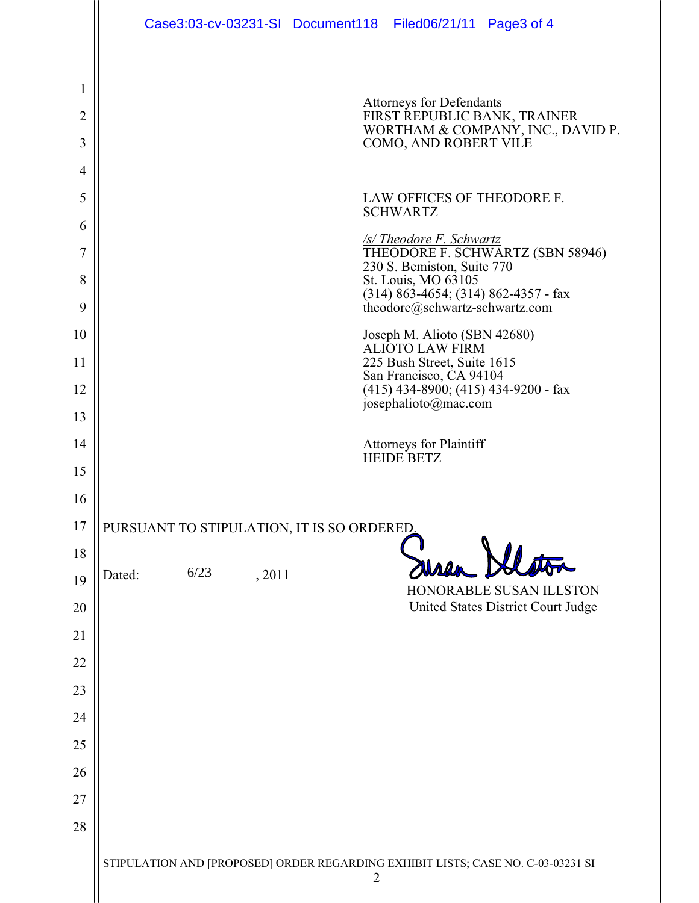|                | Case3:03-cv-03231-SI Document118 Filed06/21/11 Page3 of 4                                          |
|----------------|----------------------------------------------------------------------------------------------------|
|                |                                                                                                    |
| 1              | <b>Attorneys for Defendants</b>                                                                    |
| $\overline{2}$ | FIRST REPUBLIC BANK, TRAINER<br>WORTHAM & COMPANY, INC., DAVID P.                                  |
| 3              | COMO, AND ROBERT VILE                                                                              |
| 4<br>5         | LAW OFFICES OF THEODORE F.                                                                         |
| 6              | <b>SCHWARTZ</b>                                                                                    |
| 7              | <u>/s/ Theodore F. Schwartz</u><br>THEODORE F. SCHWARTZ (SBN 58946)                                |
| 8              | 230 S. Bemiston, Suite 770<br>St. Louis, MO 63105                                                  |
| 9              | $(314)$ 863-4654; (314) 862-4357 - fax<br>theodore@schwartz-schwartz.com                           |
| 10             | Joseph M. Alioto (SBN 42680)<br><b>ALIOTO LAW FIRM</b>                                             |
| 11             | 225 Bush Street, Suite 1615<br>San Francisco, CA 94104                                             |
| 12             | $(415)$ 434-8900; $(415)$ 434-9200 - fax<br>josephalioto@mac.com                                   |
| 13             |                                                                                                    |
| 14             | <b>Attorneys for Plaintiff</b><br><b>HEIDE BETZ</b>                                                |
| 15             |                                                                                                    |
| 16             |                                                                                                    |
| 17<br>18       | PURSUANT TO STIPULATION, IT IS SO ORDERED.                                                         |
| 19             | 6/23<br>Dated:<br>, 2011                                                                           |
| 20             | HONORABLE SUSAN ILLSTON<br>United States District Court Judge                                      |
| 21             |                                                                                                    |
| 22             |                                                                                                    |
| 23             |                                                                                                    |
| 24             |                                                                                                    |
| 25             |                                                                                                    |
| 26             |                                                                                                    |
| 27             |                                                                                                    |
| 28             |                                                                                                    |
|                | STIPULATION AND [PROPOSED] ORDER REGARDING EXHIBIT LISTS; CASE NO. C-03-03231 SI<br>$\overline{2}$ |